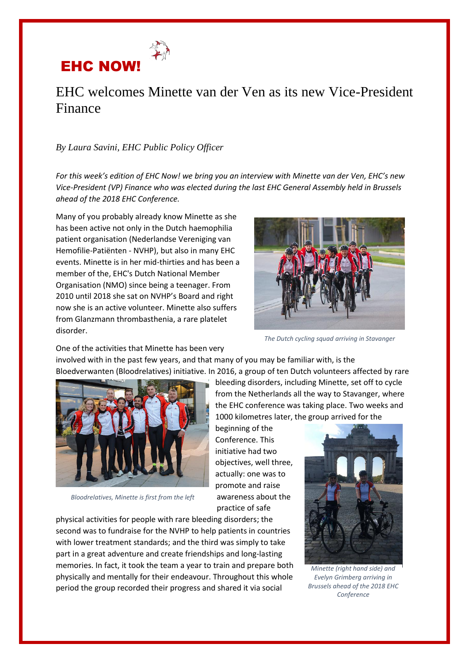

## EHC welcomes Minette van der Ven as its new Vice-President Finance

## *By Laura Savini, EHC Public Policy Officer*

*For this week's edition of EHC Now! we bring you an interview with Minette van der Ven, EHC's new Vice-President (VP) Finance who was elected during the last EHC General Assembly held in Brussels ahead of the 2018 EHC Conference.*

Many of you probably already know Minette as she has been active not only in the Dutch haemophilia patient organisation (Nederlandse Vereniging van Hemofilie-Patiënten - NVHP), but also in many EHC events. Minette is in her mid-thirties and has been a member of the, EHC's Dutch National Member Organisation (NMO) since being a teenager. From 2010 until 2018 she sat on NVHP's Board and right now she is an active volunteer. Minette also suffers from Glanzmann thrombasthenia, a rare platelet disorder.



*The Dutch cycling squad arriving in Stavanger*

bleeding disorders, including Minette, set off to cycle from the Netherlands all the way to Stavanger, where the EHC conference was taking place. Two weeks and

One of the activities that Minette has been very

involved with in the past few years, and that many of you may be familiar with, is the Bloedverwanten (Bloodrelatives) initiative. In 2016, a group of ten Dutch volunteers affected by rare

> beginning of the Conference. This initiative had two objectives, well three, actually: one was to promote and raise awareness about the practice of safe



*Bloodrelatives, Minette is first from the left*

physical activities for people with rare bleeding disorders; the second was to fundraise for the NVHP to help patients in countries with lower treatment standards; and the third was simply to take part in a great adventure and create friendships and long-lasting memories. In fact, it took the team a year to train and prepare both physically and mentally for their endeavour. Throughout this whole period the group recorded their progress and shared it via social

1000 kilometres later, the group arrived for the

*Minette (right hand side) and Evelyn Grimberg arriving in Brussels ahead of the 2018 EHC Conference*